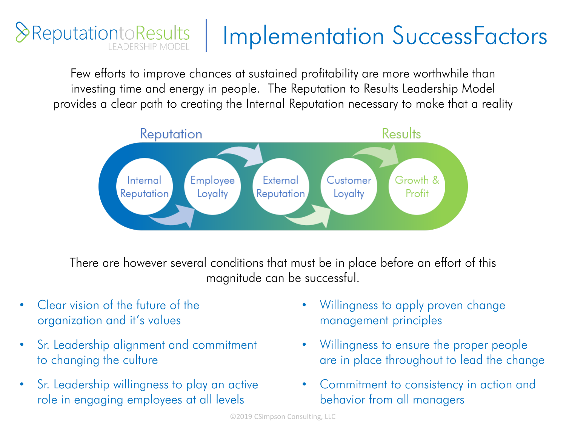## **&ReputationtoResults** Implementation SuccessFactors

Few efforts to improve chances at sustained profitability are more worthwhile than investing time and energy in people. The Reputation to Results Leadership Model provides a clear path to creating the Internal Reputation necessary to make that a reality



There are however several conditions that must be in place before an effort of this magnitude can be successful.

- Clear vision of the future of the organization and it's values
- Sr. Leadership alignment and commitment to changing the culture
- Sr. Leadership willingness to play an active role in engaging employees at all levels
- Willingness to apply proven change management principles
- Willingness to ensure the proper people are in place throughout to lead the change
- Commitment to consistency in action and behavior from all managers